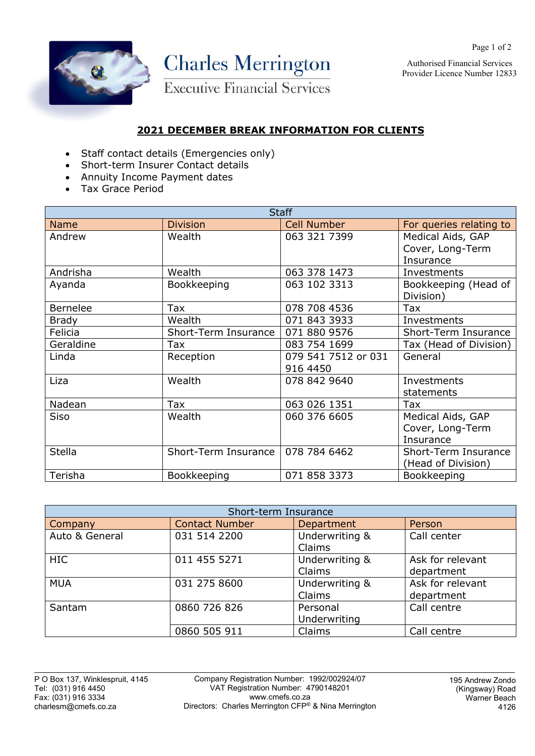

Authorised Financial Services Provider Licence Number 12833

Page 1 of 2

## **2021 DECEMBER BREAK INFORMATION FOR CLIENTS**

- Staff contact details (Emergencies only)
- Short-term Insurer Contact details
- Annuity Income Payment dates
- Tax Grace Period

| <b>Staff</b>    |                      |                     |                         |  |
|-----------------|----------------------|---------------------|-------------------------|--|
| <b>Name</b>     | <b>Division</b>      | <b>Cell Number</b>  | For queries relating to |  |
| Andrew          | Wealth               | 063 321 7399        | Medical Aids, GAP       |  |
|                 |                      |                     | Cover, Long-Term        |  |
|                 |                      |                     | Insurance               |  |
| Andrisha        | Wealth               | 063 378 1473        | Investments             |  |
| Ayanda          | Bookkeeping          | 063 102 3313        | Bookkeeping (Head of    |  |
|                 |                      |                     | Division)               |  |
| <b>Bernelee</b> | Tax                  | 078 708 4536        | Tax                     |  |
| <b>Brady</b>    | Wealth               | 071 843 3933        | Investments             |  |
| Felicia         | Short-Term Insurance | 071 880 9576        | Short-Term Insurance    |  |
| Geraldine       | Tax                  | 083 754 1699        | Tax (Head of Division)  |  |
| Linda           | Reception            | 079 541 7512 or 031 | General                 |  |
|                 |                      | 916 4450            |                         |  |
| Liza            | Wealth               | 078 842 9640        | Investments             |  |
|                 |                      |                     | statements              |  |
| Nadean          | Tax                  | 063 026 1351        | Tax                     |  |
| <b>Siso</b>     | Wealth               | 060 376 6605        | Medical Aids, GAP       |  |
|                 |                      |                     | Cover, Long-Term        |  |
|                 |                      |                     | Insurance               |  |
| <b>Stella</b>   | Short-Term Insurance | 078 784 6462        | Short-Term Insurance    |  |
|                 |                      |                     | (Head of Division)      |  |
| Terisha         | Bookkeeping          | 071 858 3373        | Bookkeeping             |  |

| Short-term Insurance |                       |                          |                                |  |
|----------------------|-----------------------|--------------------------|--------------------------------|--|
| Company              | <b>Contact Number</b> | Department               | Person                         |  |
| Auto & General       | 031 514 2200          | Underwriting &<br>Claims | Call center                    |  |
| <b>HIC</b>           | 011 455 5271          | Underwriting &<br>Claims | Ask for relevant<br>department |  |
| <b>MUA</b>           | 031 275 8600          | Underwriting &<br>Claims | Ask for relevant<br>department |  |
| Santam               | 0860 726 826          | Personal<br>Underwriting | Call centre                    |  |
|                      | 0860 505 911          | Claims                   | Call centre                    |  |